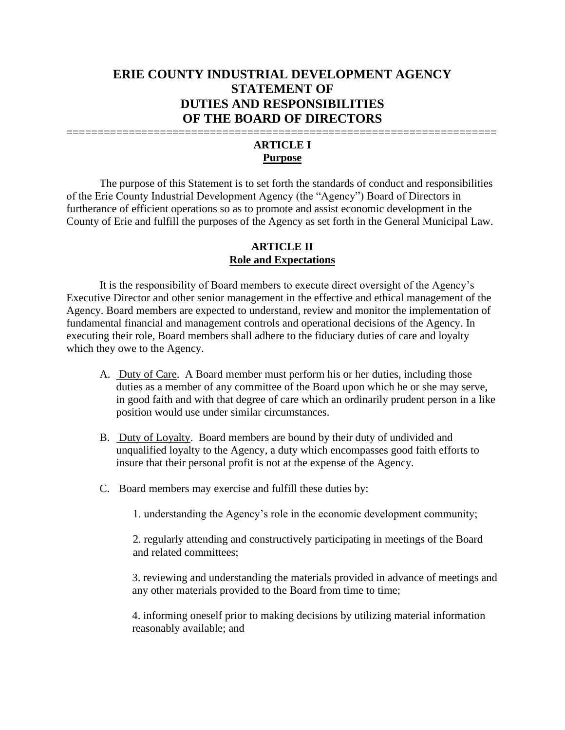# **ERIE COUNTY INDUSTRIAL DEVELOPMENT AGENCY STATEMENT OF DUTIES AND RESPONSIBILITIES OF THE BOARD OF DIRECTORS**

## ===================================================================== **ARTICLE I Purpose**

The purpose of this Statement is to set forth the standards of conduct and responsibilities of the Erie County Industrial Development Agency (the "Agency") Board of Directors in furtherance of efficient operations so as to promote and assist economic development in the County of Erie and fulfill the purposes of the Agency as set forth in the General Municipal Law.

#### **ARTICLE II Role and Expectations**

It is the responsibility of Board members to execute direct oversight of the Agency's Executive Director and other senior management in the effective and ethical management of the Agency. Board members are expected to understand, review and monitor the implementation of fundamental financial and management controls and operational decisions of the Agency. In executing their role, Board members shall adhere to the fiduciary duties of care and loyalty which they owe to the Agency.

- A. Duty of Care. A Board member must perform his or her duties, including those duties as a member of any committee of the Board upon which he or she may serve, in good faith and with that degree of care which an ordinarily prudent person in a like position would use under similar circumstances.
- B. Duty of Loyalty. Board members are bound by their duty of undivided and unqualified loyalty to the Agency, a duty which encompasses good faith efforts to insure that their personal profit is not at the expense of the Agency.
- C. Board members may exercise and fulfill these duties by:

1. understanding the Agency's role in the economic development community;

 2. regularly attending and constructively participating in meetings of the Board and related committees;

3. reviewing and understanding the materials provided in advance of meetings and any other materials provided to the Board from time to time;

4. informing oneself prior to making decisions by utilizing material information reasonably available; and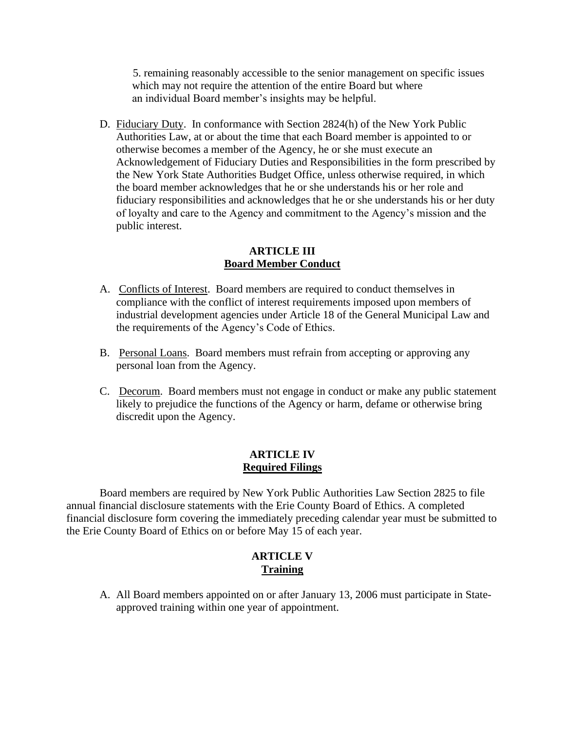5. remaining reasonably accessible to the senior management on specific issues which may not require the attention of the entire Board but where an individual Board member's insights may be helpful.

D. Fiduciary Duty. In conformance with Section 2824(h) of the New York Public Authorities Law, at or about the time that each Board member is appointed to or otherwise becomes a member of the Agency, he or she must execute an Acknowledgement of Fiduciary Duties and Responsibilities in the form prescribed by the New York State Authorities Budget Office, unless otherwise required, in which the board member acknowledges that he or she understands his or her role and fiduciary responsibilities and acknowledges that he or she understands his or her duty of loyalty and care to the Agency and commitment to the Agency's mission and the public interest.

#### **ARTICLE III Board Member Conduct**

- A. Conflicts of Interest. Board members are required to conduct themselves in compliance with the conflict of interest requirements imposed upon members of industrial development agencies under Article 18 of the General Municipal Law and the requirements of the Agency's Code of Ethics.
- B. Personal Loans. Board members must refrain from accepting or approving any personal loan from the Agency.
- C. Decorum. Board members must not engage in conduct or make any public statement likely to prejudice the functions of the Agency or harm, defame or otherwise bring discredit upon the Agency.

#### **ARTICLE IV Required Filings**

Board members are required by New York Public Authorities Law Section 2825 to file annual financial disclosure statements with the Erie County Board of Ethics. A completed financial disclosure form covering the immediately preceding calendar year must be submitted to the Erie County Board of Ethics on or before May 15 of each year.

# **ARTICLE V Training**

A. All Board members appointed on or after January 13, 2006 must participate in Stateapproved training within one year of appointment.